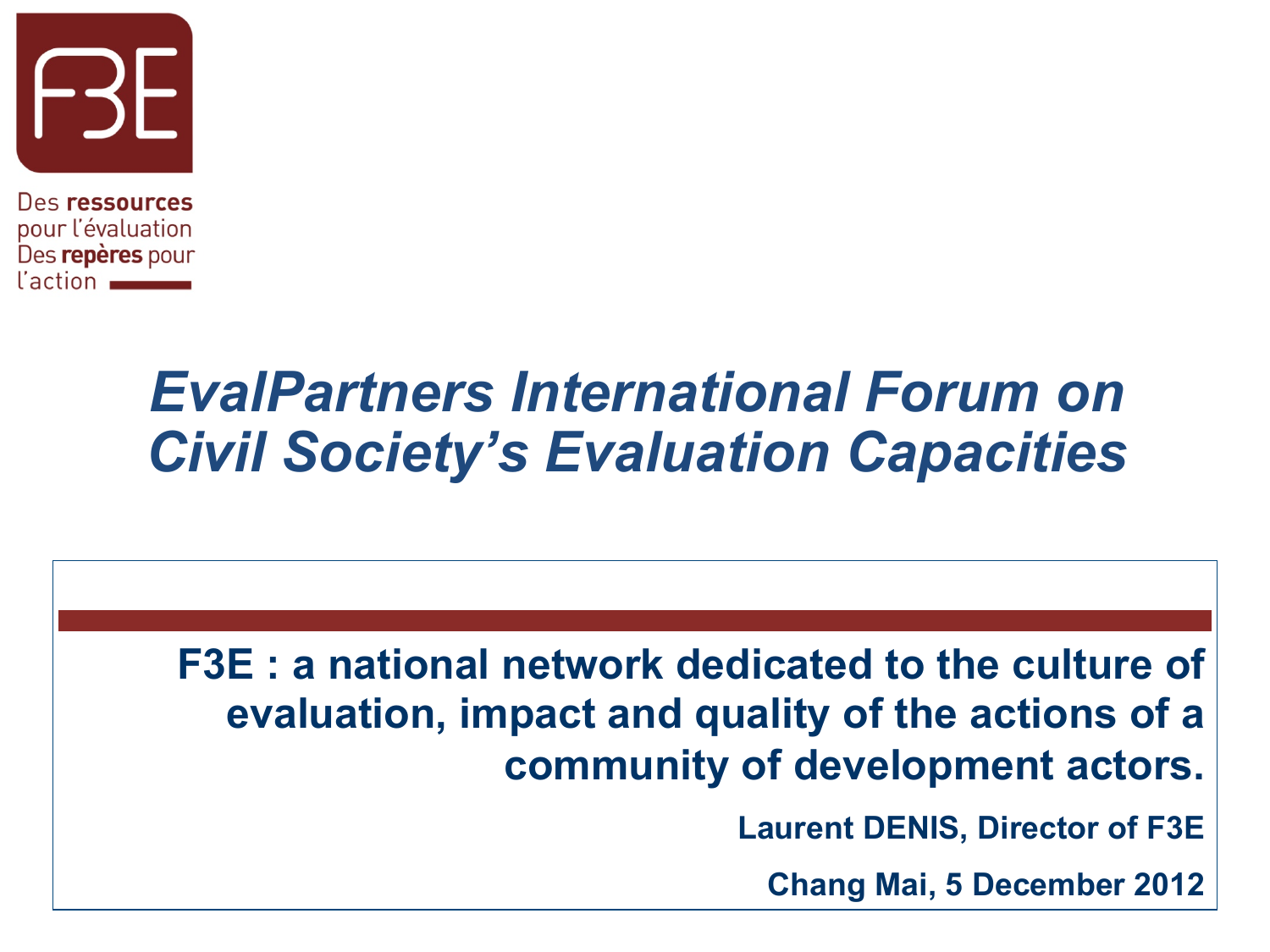

Des ressources pour l'évaluation Des repères pour l'action

### *EvalPartners International Forum on Civil Society's Evaluation Capacities*

#### **F3E : a national network dedicated to the culture of evaluation, impact and quality of the actions of a community of development actors.**

**Laurent DENIS, Director of F3E** 

**Chang Mai, 5 December 2012**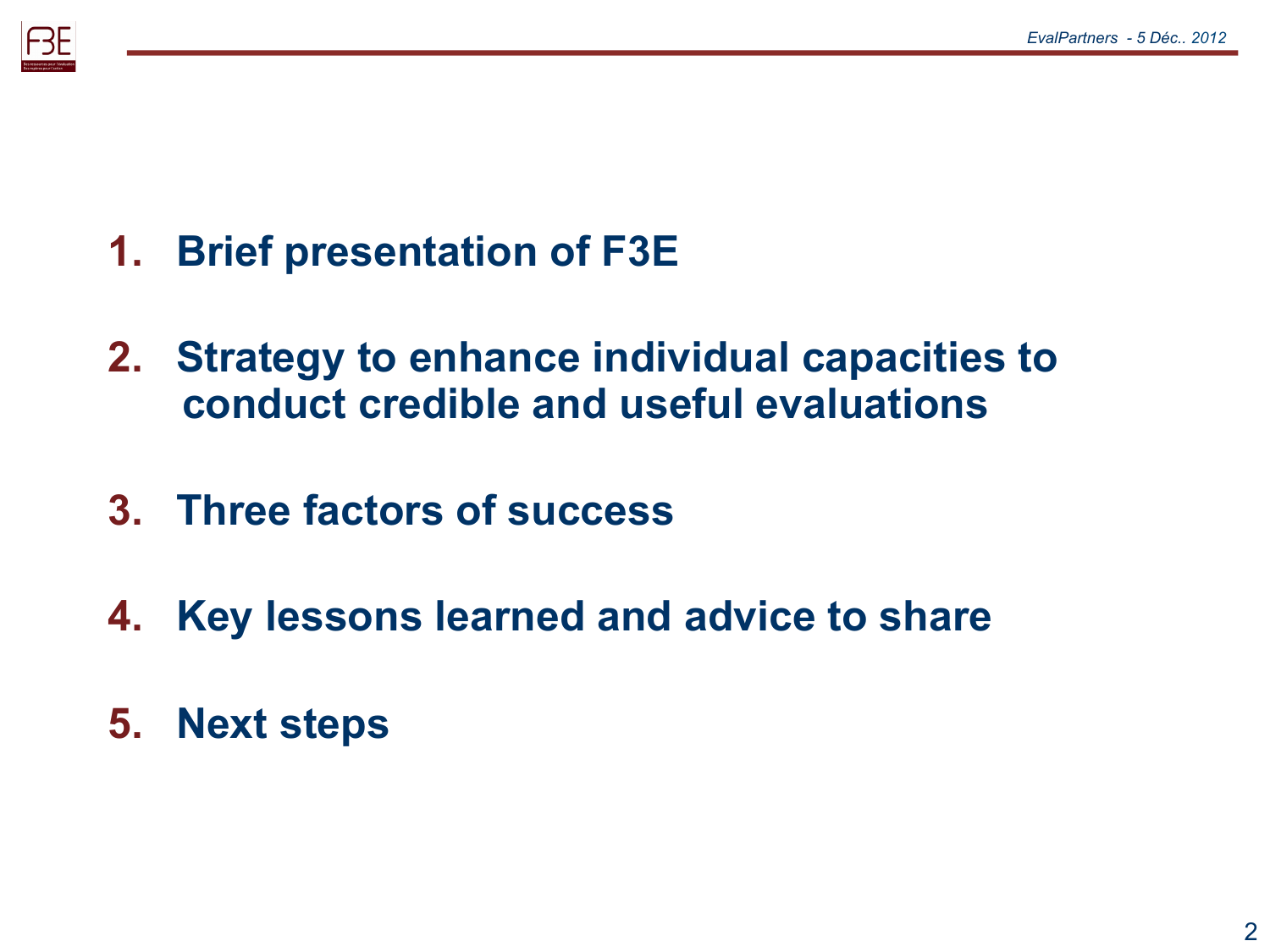

- **1. Brief presentation of F3E**
- **2. Strategy to enhance individual capacities to conduct credible and useful evaluations**
- **3. Three factors of success**
- **4. Key lessons learned and advice to share**
- **5. Next steps**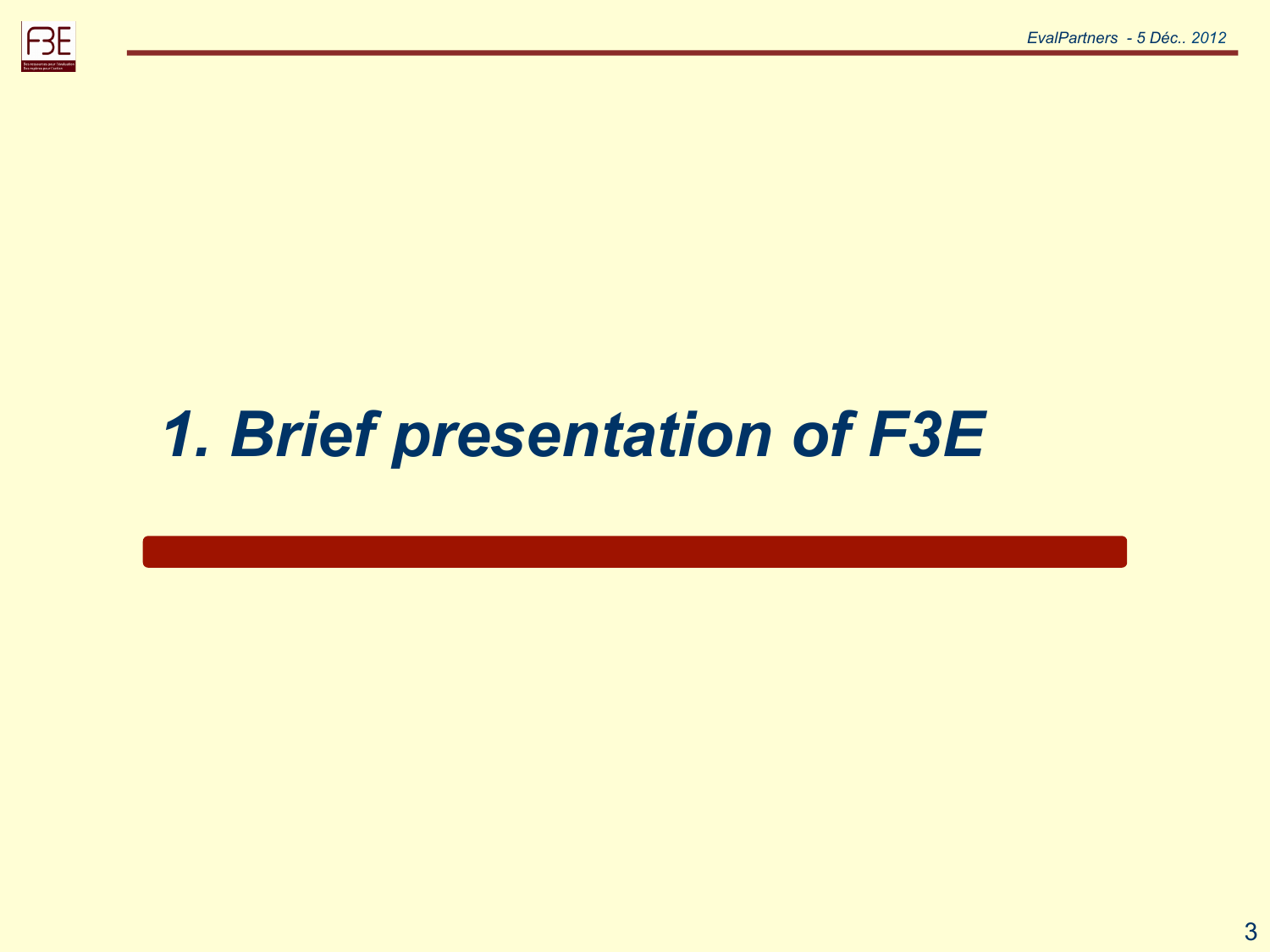

# *1. Brief presentation of F3E*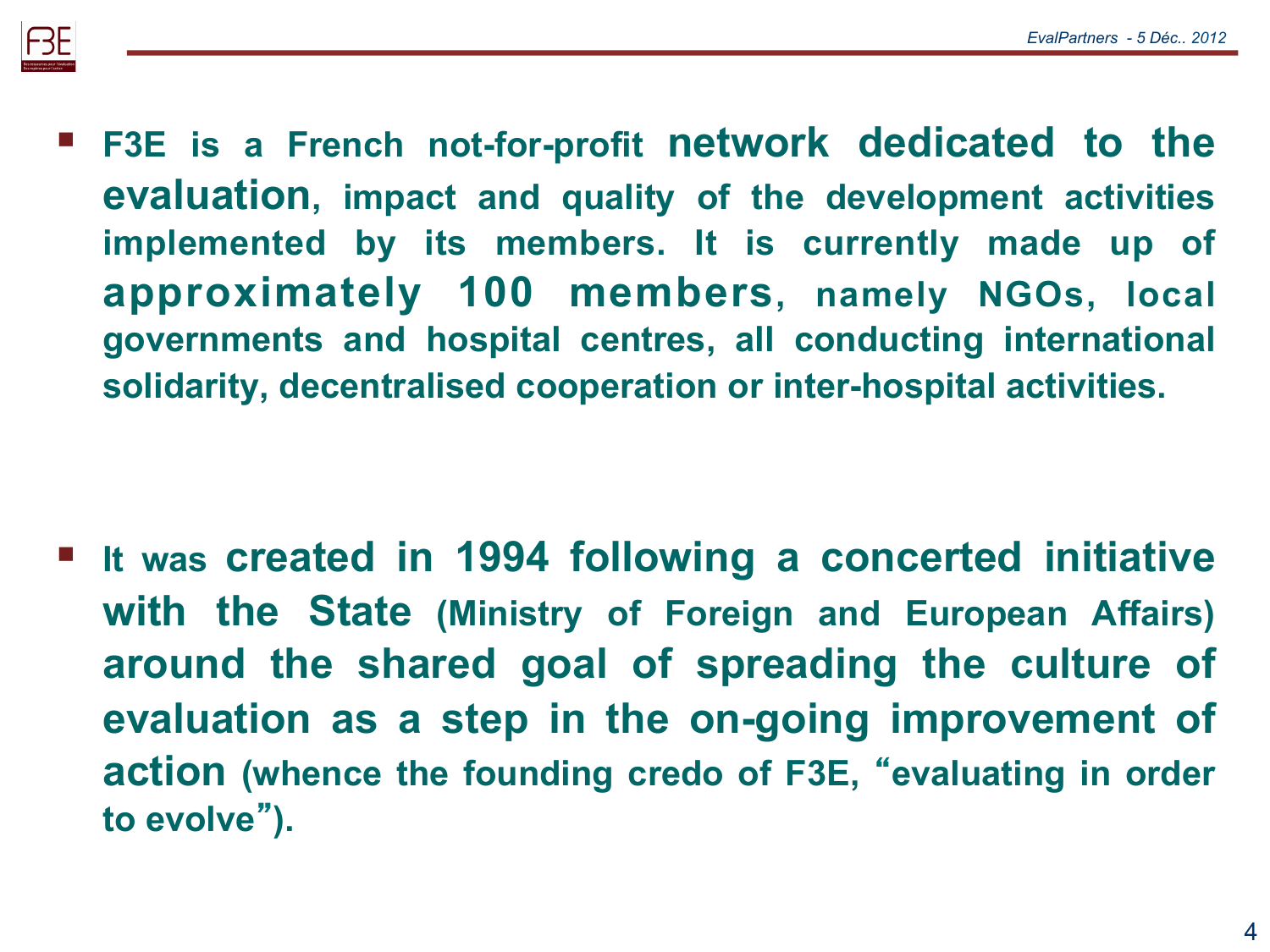

 **F3E is a French not-for-profit network dedicated to the evaluation, impact and quality of the development activities implemented by its members. It is currently made up of approximately 100 members, namely NGOs, local governments and hospital centres, all conducting international solidarity, decentralised cooperation or inter-hospital activities.** 

 **It was created in 1994 following a concerted initiative with the State (Ministry of Foreign and European Affairs) around the shared goal of spreading the culture of evaluation as a step in the on-going improvement of action (whence the founding credo of F3E,** "**evaluating in order to evolve**"**).**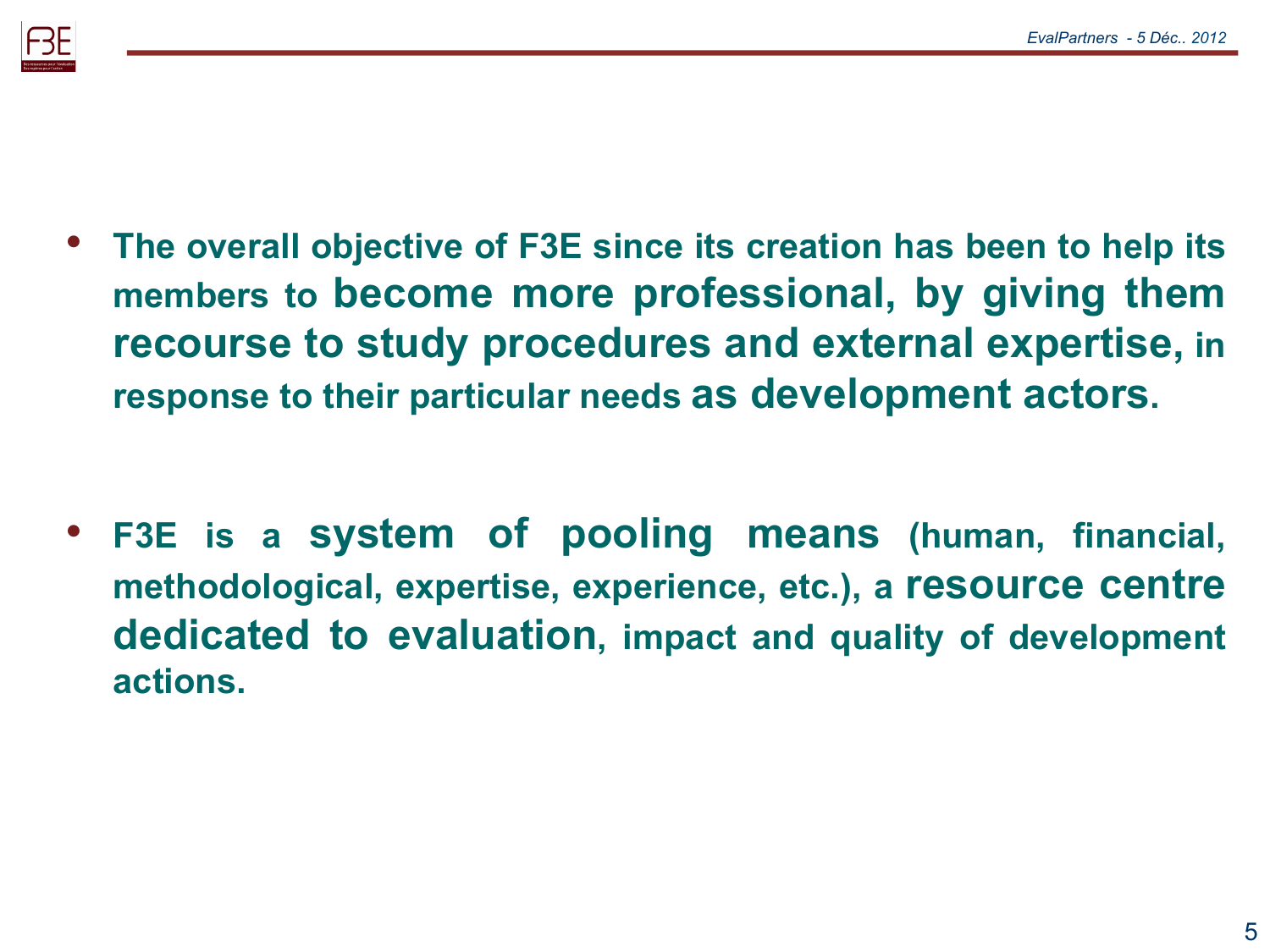

- **The overall objective of F3E since its creation has been to help its members to become more professional, by giving them recourse to study procedures and external expertise, in response to their particular needs as development actors.**
- **F3E is a system of pooling means (human, financial, methodological, expertise, experience, etc.), a resource centre dedicated to evaluation, impact and quality of development actions.**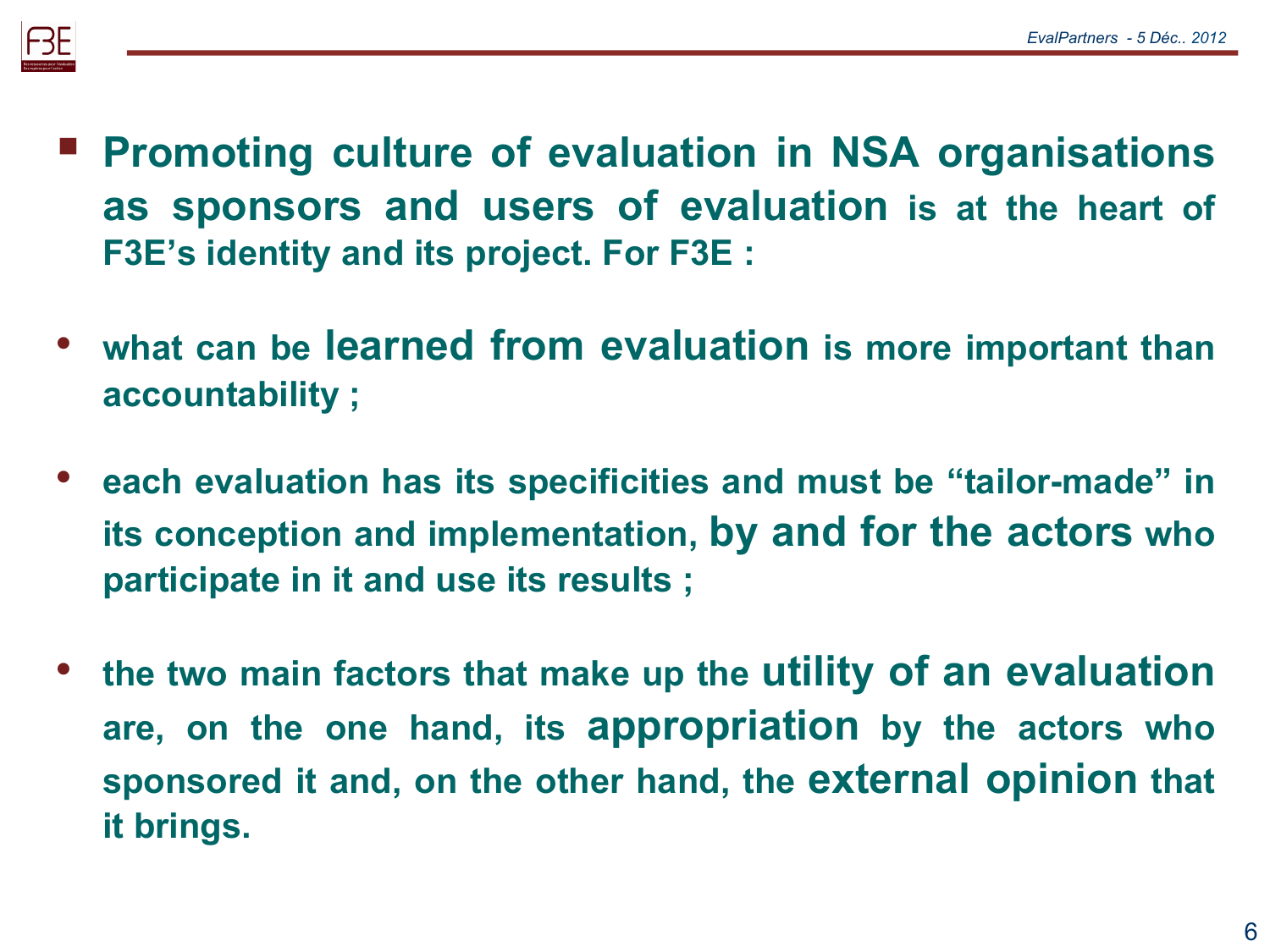

- **Promoting culture of evaluation in NSA organisations as sponsors and users of evaluation is at the heart of F3E's identity and its project. For F3E :**
- **what can be learned from evaluation is more important than accountability ;**
- **each evaluation has its specificities and must be "tailor-made" in its conception and implementation, by and for the actors who participate in it and use its results ;**
- **the two main factors that make up the utility of an evaluation are, on the one hand, its appropriation by the actors who sponsored it and, on the other hand, the external opinion that it brings.**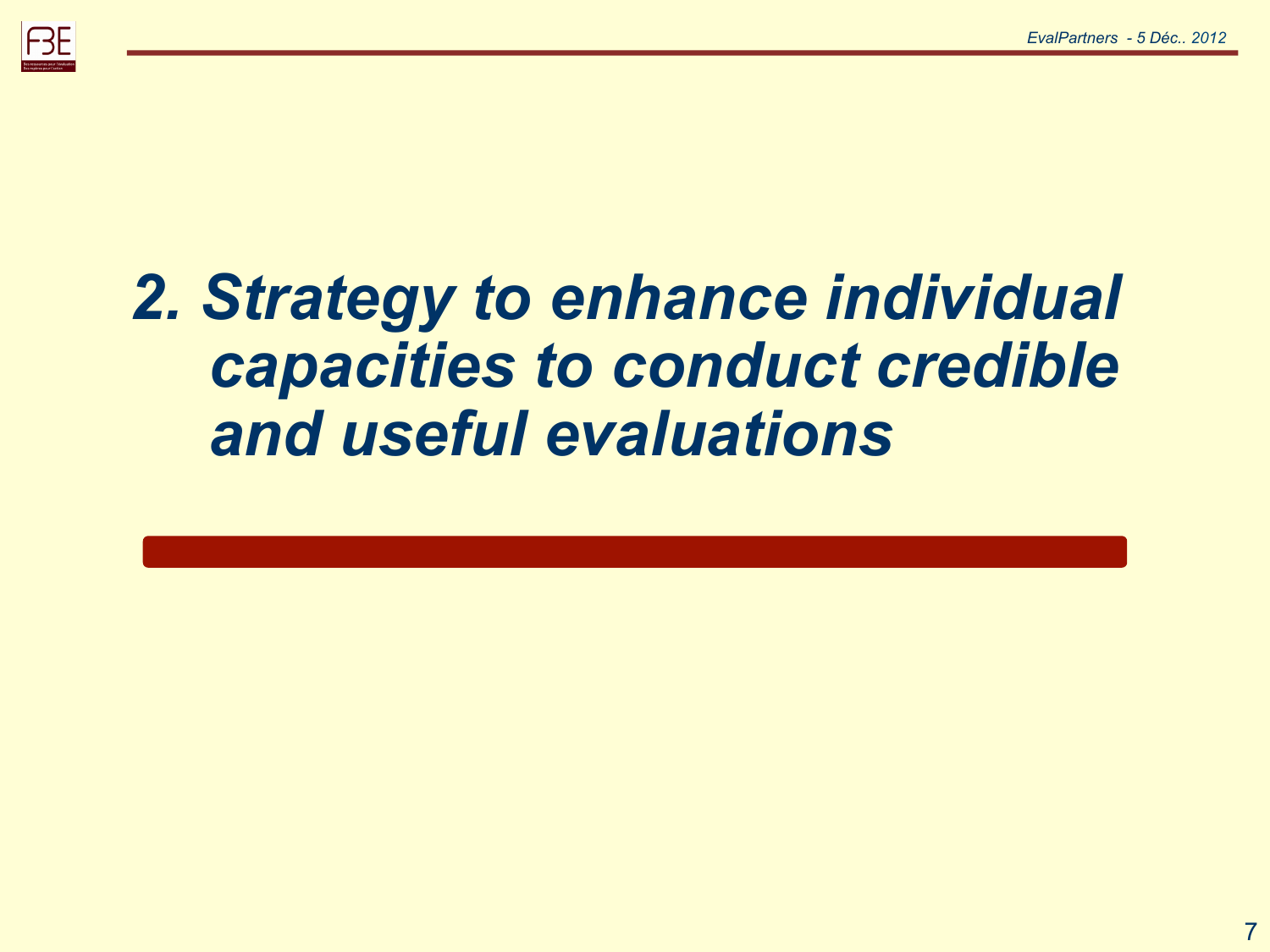

## *2. Strategy to enhance individual capacities to conduct credible and useful evaluations*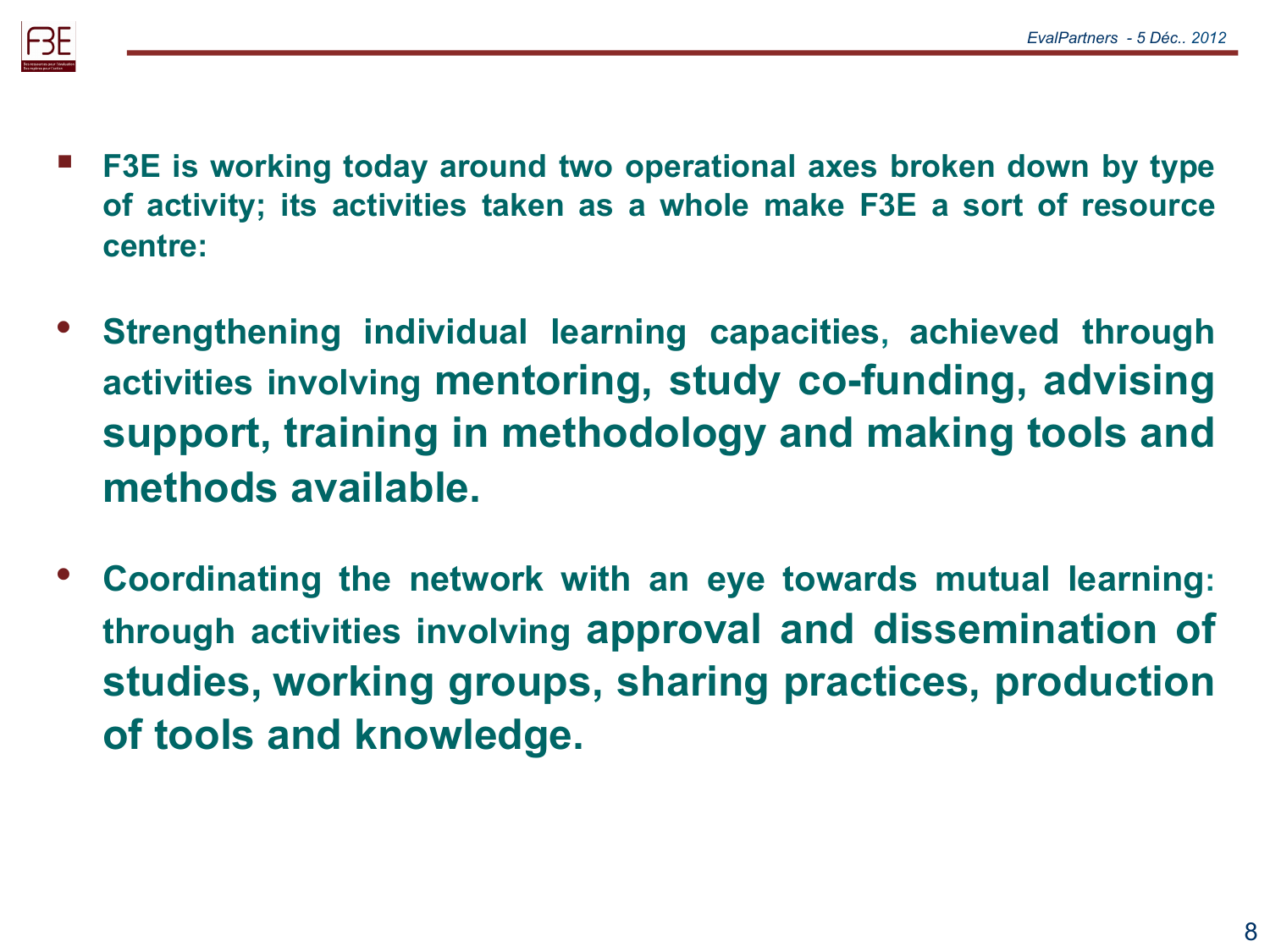

- **F3E is working today around two operational axes broken down by type of activity; its activities taken as a whole make F3E a sort of resource centre:**
- **Strengthening individual learning capacities, achieved through activities involving mentoring, study co-funding, advising support, training in methodology and making tools and methods available.**
- **Coordinating the network with an eye towards mutual learning: through activities involving approval and dissemination of studies, working groups, sharing practices, production of tools and knowledge.**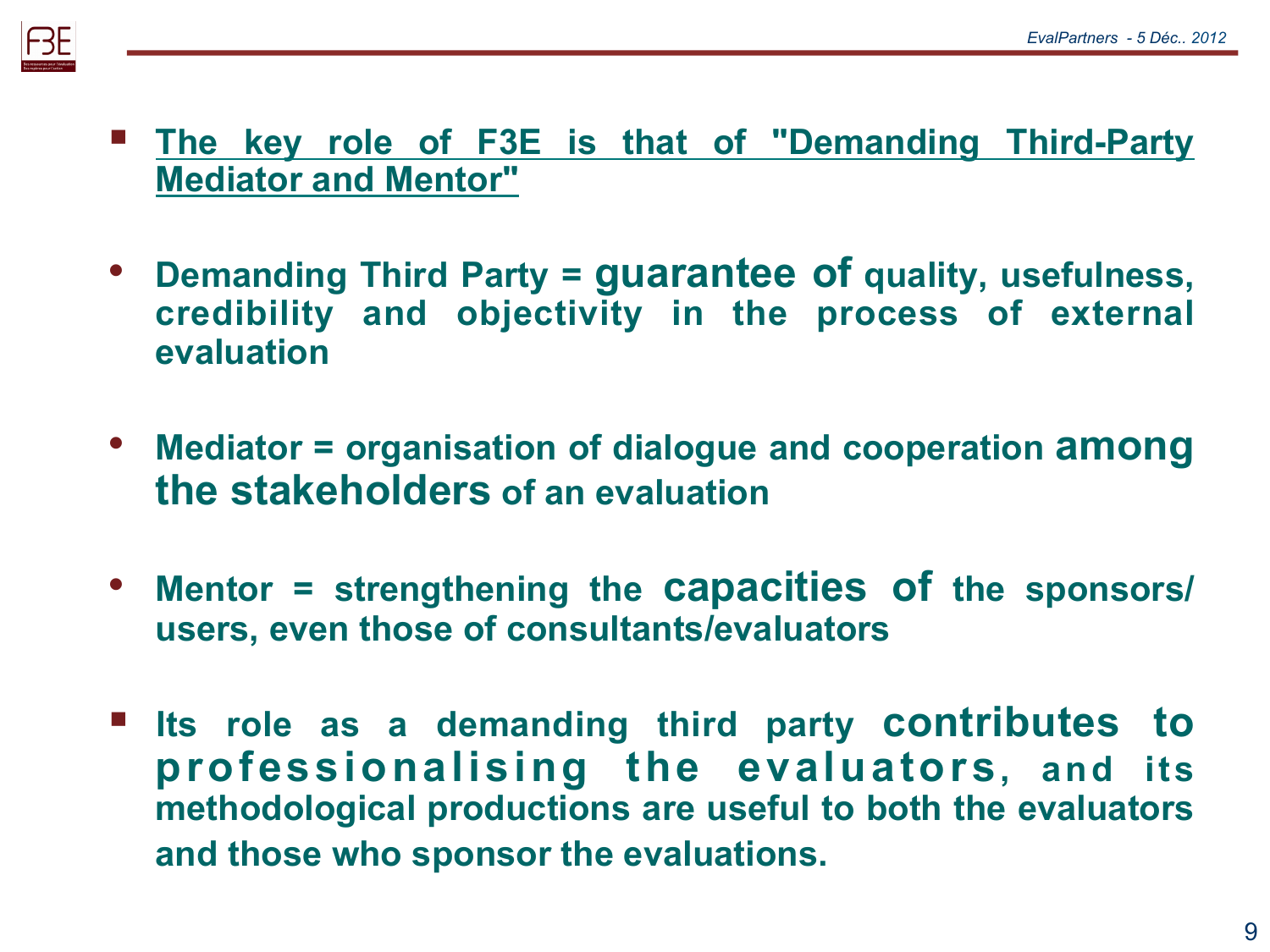

- **The key role of F3E is that of "Demanding Third-Party Mediator and Mentor"**
- **Demanding Third Party = guarantee of quality, usefulness, credibility and objectivity in the process of external evaluation**
- **Mediator = organisation of dialogue and cooperation among the stakeholders of an evaluation**
- **Mentor = strengthening the capacities of the sponsors/ users, even those of consultants/evaluators**
- **Its role as a demanding third party contributes to professionalising the evaluators, and its methodological productions are useful to both the evaluators and those who sponsor the evaluations.**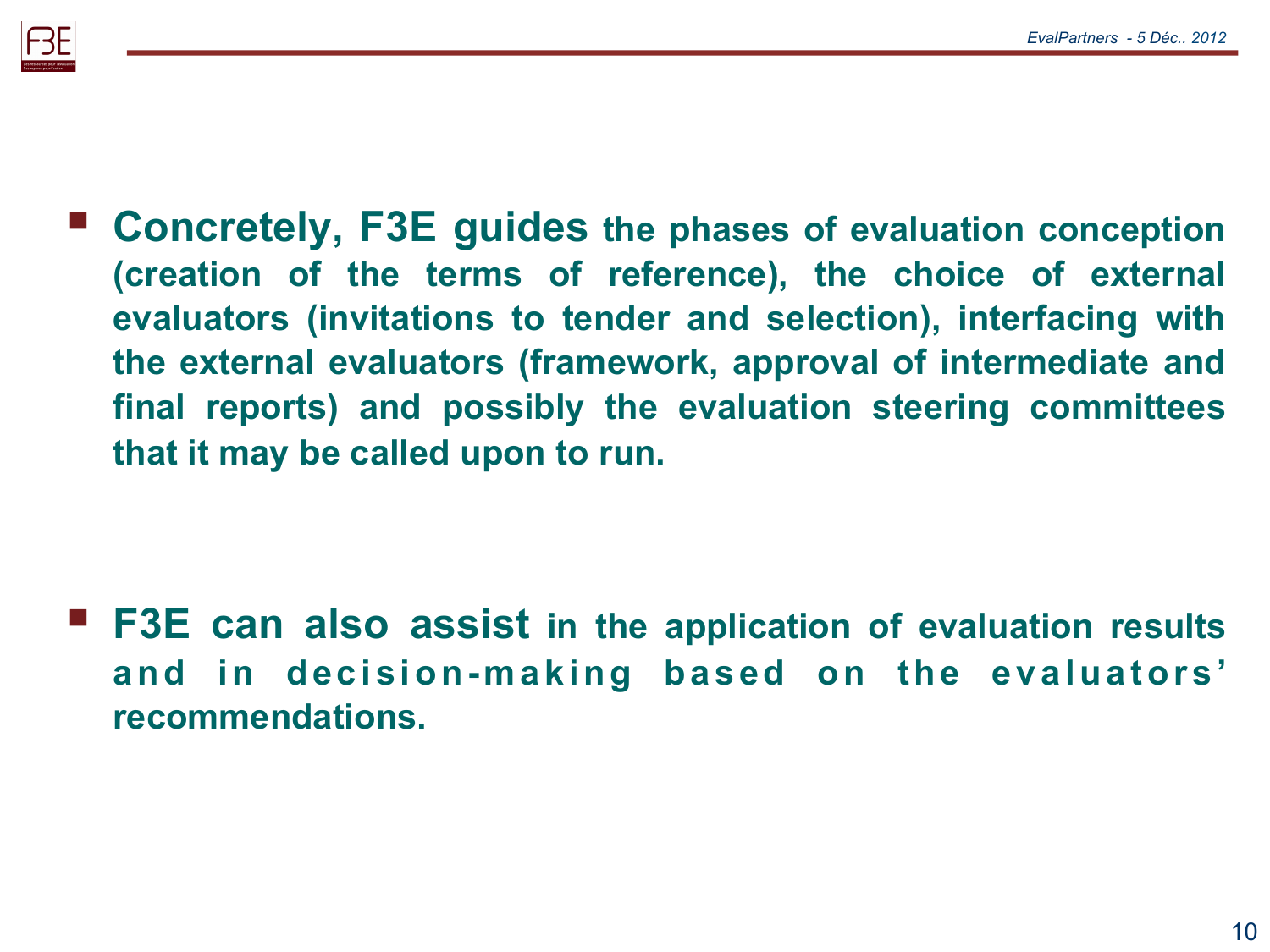

 **Concretely, F3E guides the phases of evaluation conception (creation of the terms of reference), the choice of external evaluators (invitations to tender and selection), interfacing with the external evaluators (framework, approval of intermediate and final reports) and possibly the evaluation steering committees that it may be called upon to run.** 

 **F3E can also assist in the application of evaluation results and in decision-making based on the evaluators' recommendations.**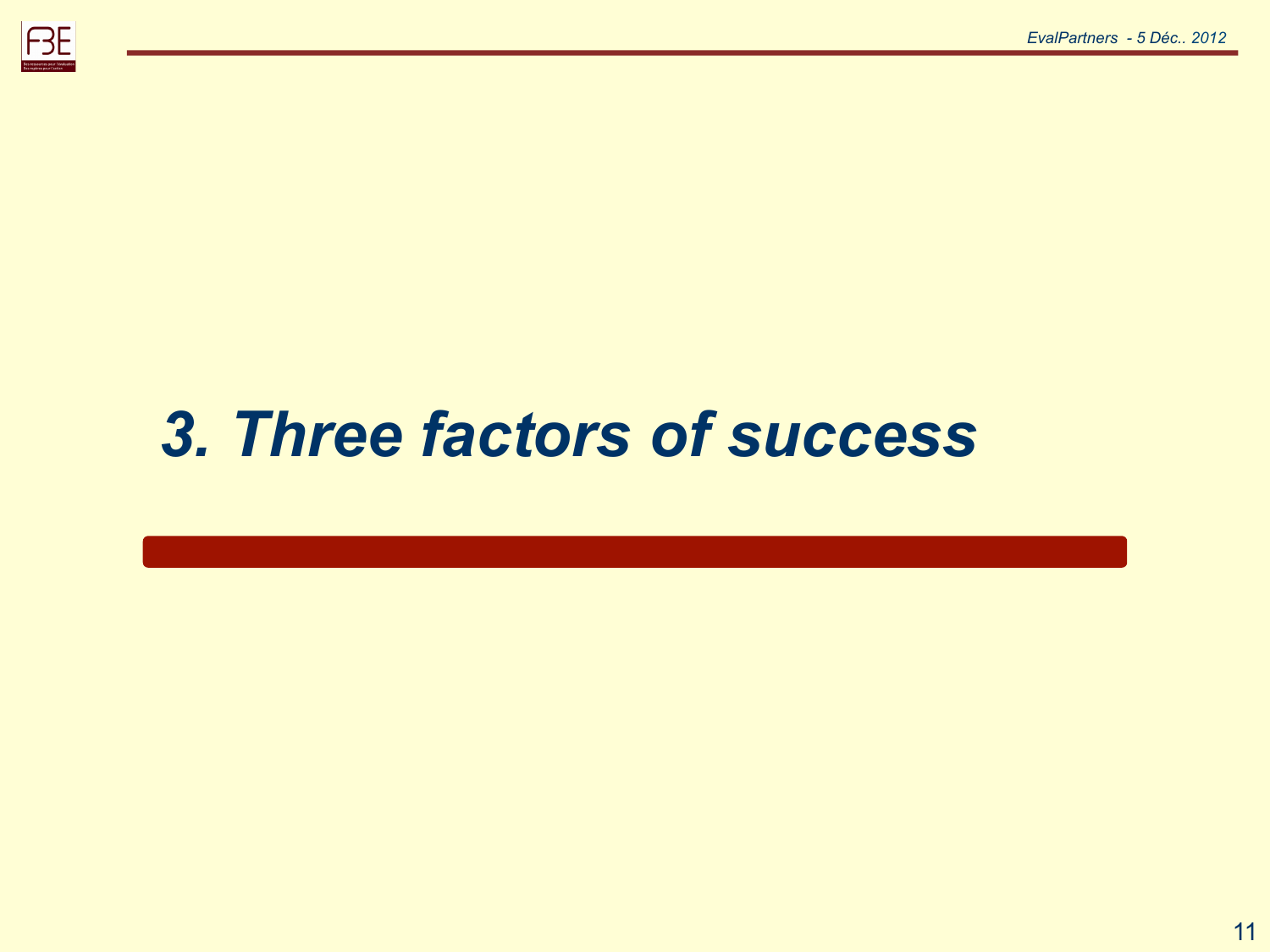

# *3. Three factors of success*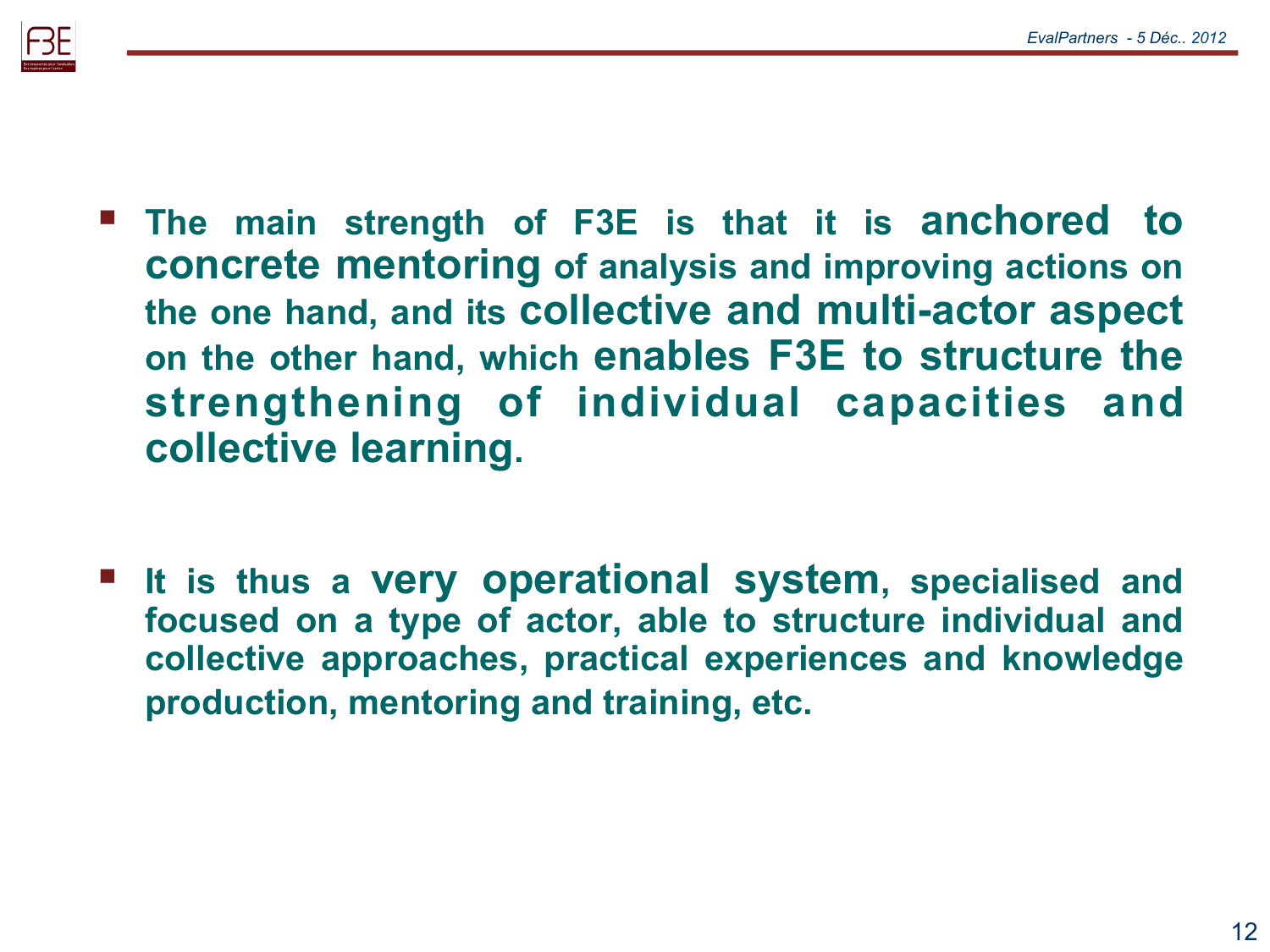

- **The main strength of F3E is that it is anchored to concrete mentoring of analysis and improving actions on the one hand, and its collective and multi-actor aspect on the other hand, which enables F3E to structure the strengthening of individual capacities and collective learning.**
- **It is thus a very operational system, specialised and focused on a type of actor, able to structure individual and collective approaches, practical experiences and knowledge production, mentoring and training, etc.**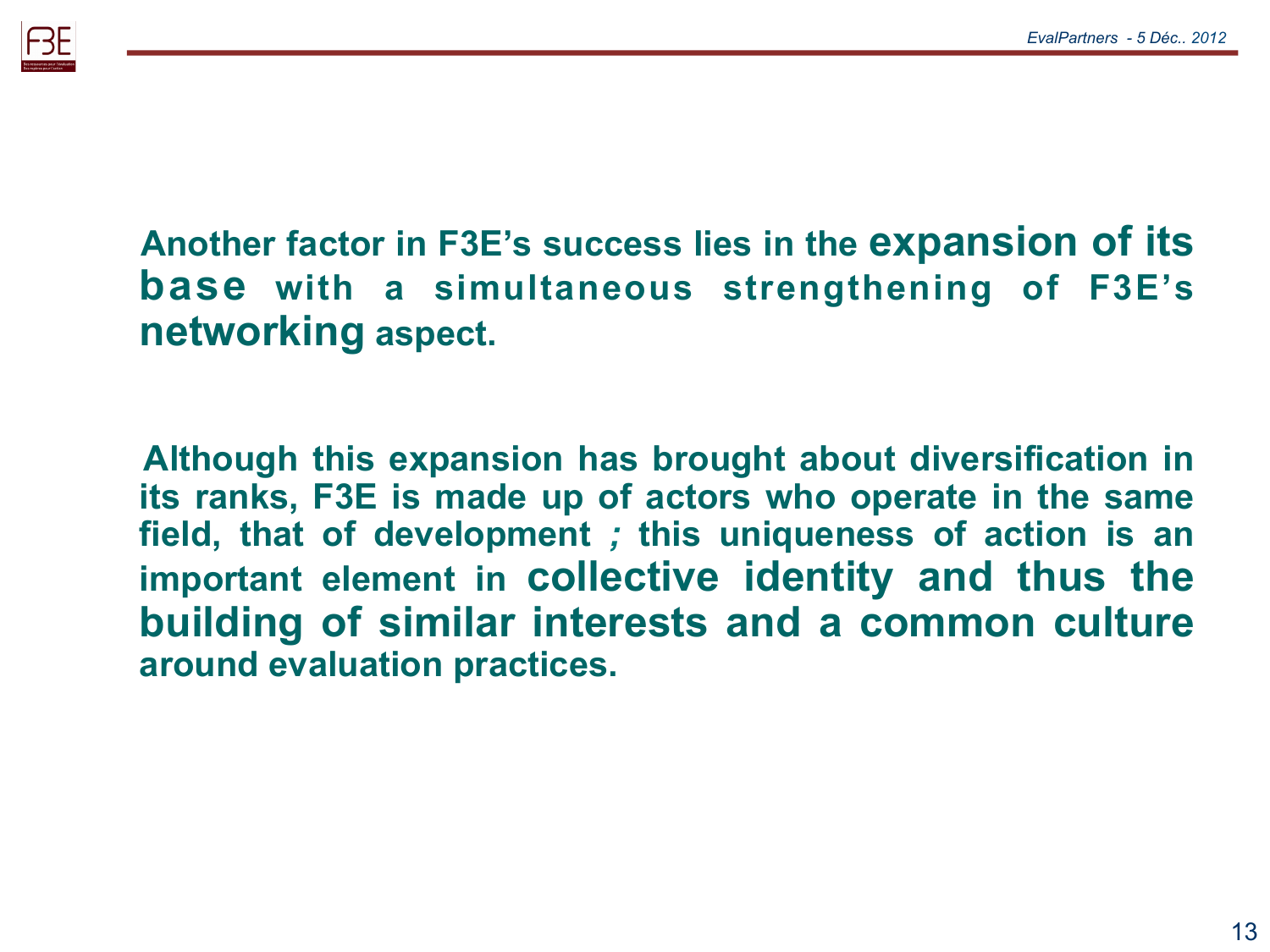

#### **Another factor in F3E's success lies in the expansion of its base with a simultaneous strengthening of F3E's networking aspect.**

**Although this expansion has brought about diversification in its ranks, F3E is made up of actors who operate in the same field, that of development** *;* **this uniqueness of action is an important element in collective identity and thus the building of similar interests and a common culture around evaluation practices.**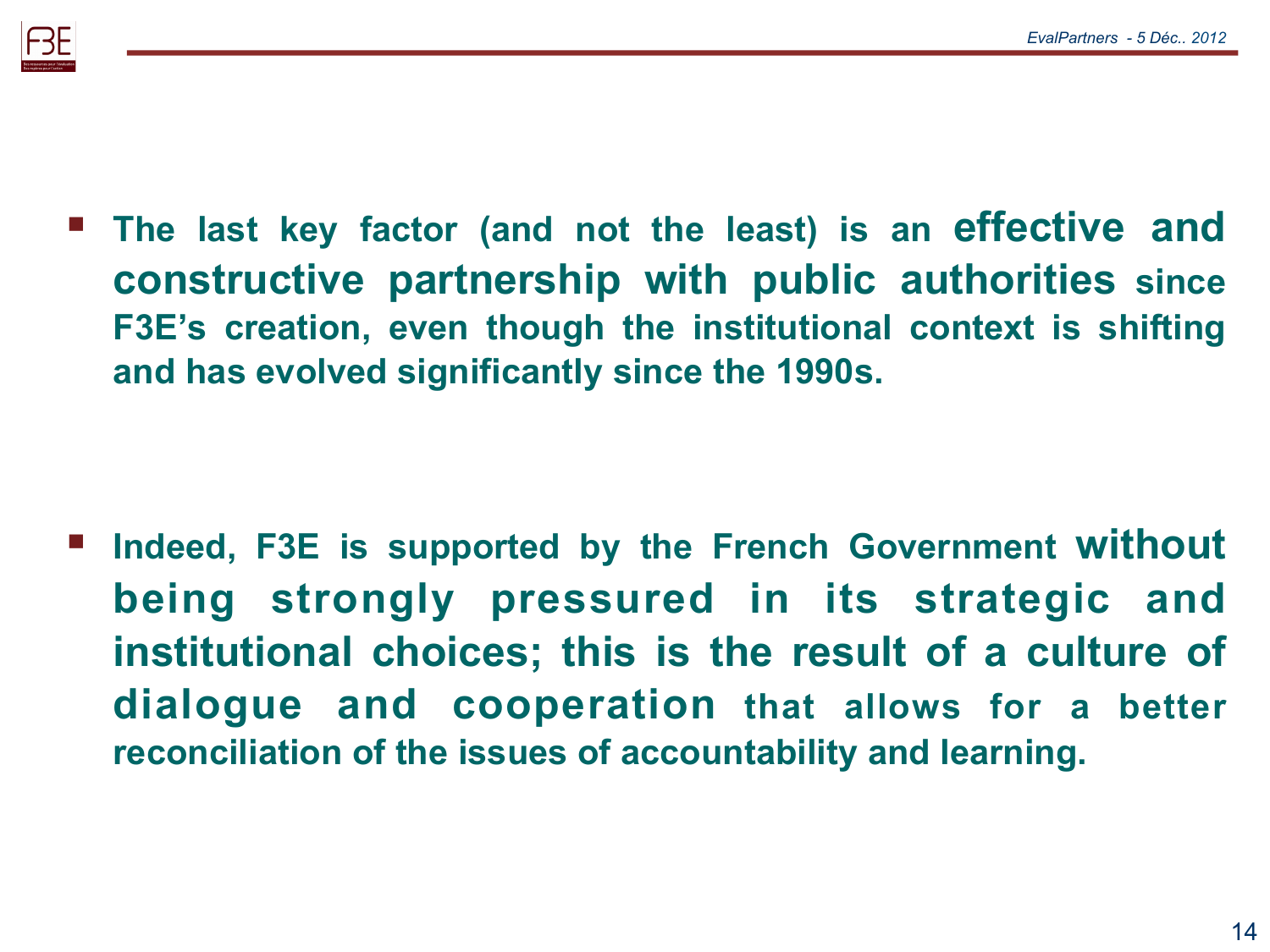

 **The last key factor (and not the least) is an effective and constructive partnership with public authorities since F3E's creation, even though the institutional context is shifting and has evolved significantly since the 1990s.** 

 **Indeed, F3E is supported by the French Government without being strongly pressured in its strategic and institutional choices; this is the result of a culture of dialogue and cooperation that allows for a better reconciliation of the issues of accountability and learning.**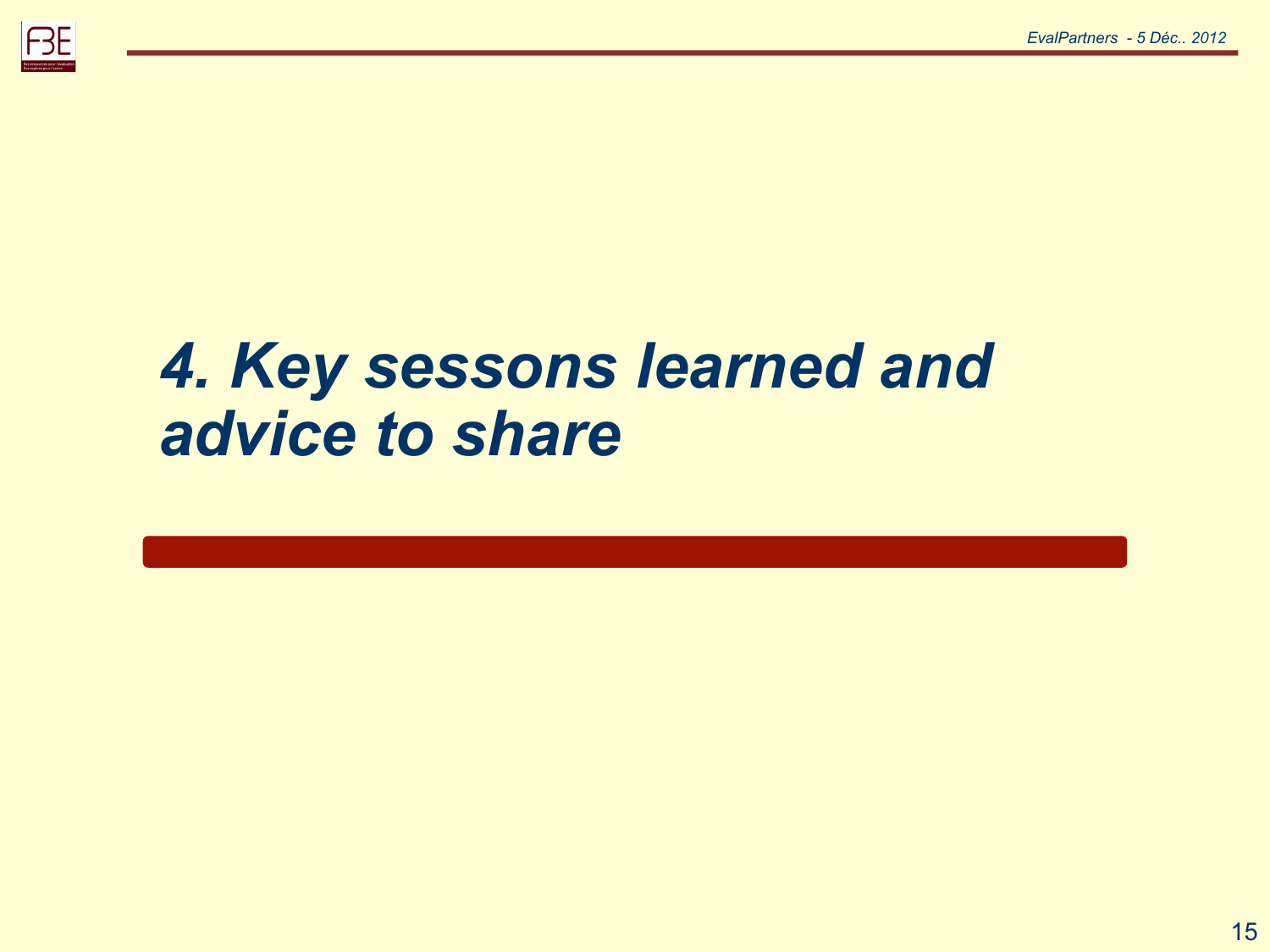

## *4. Key sessons learned and advice to share*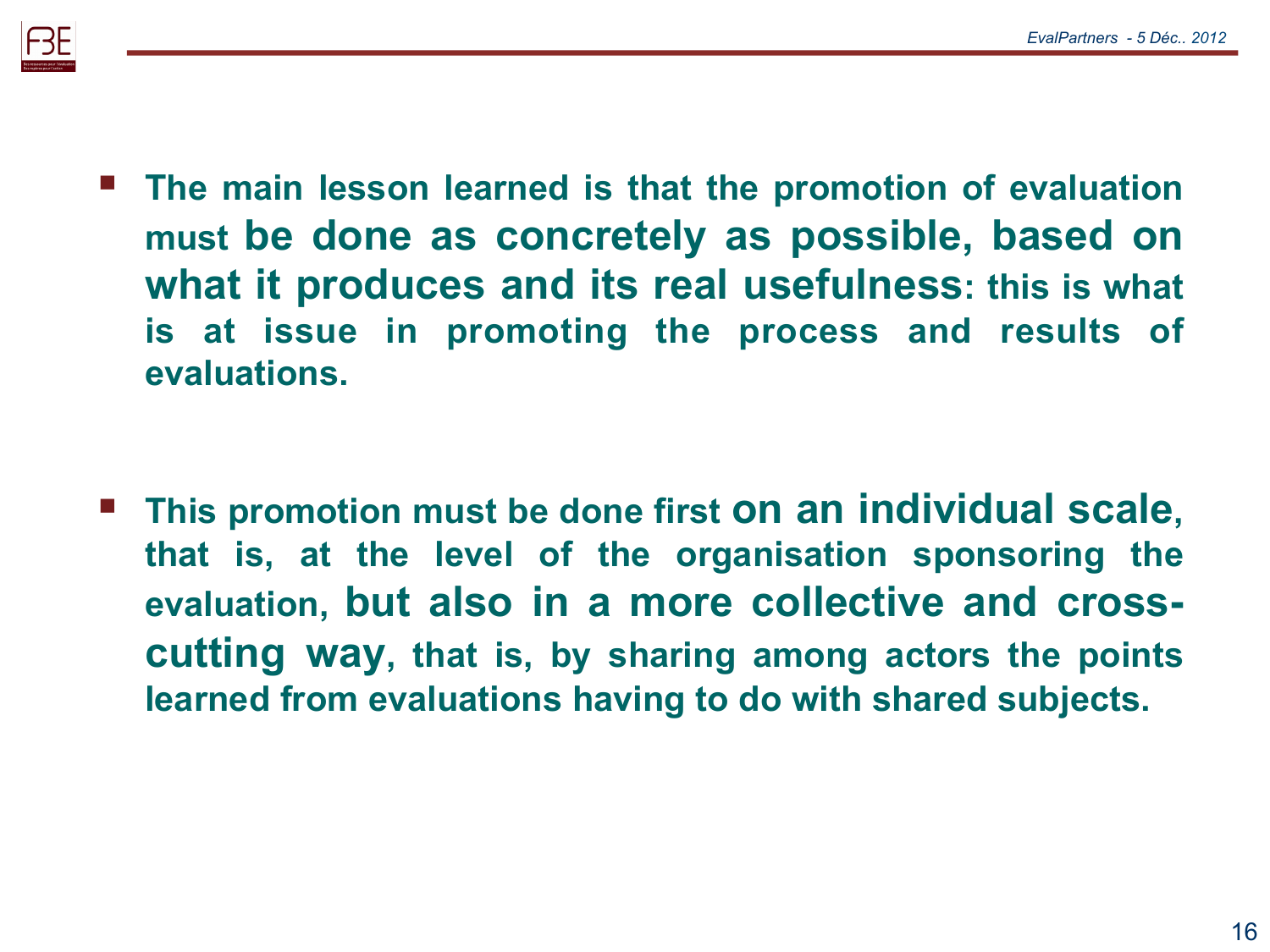

 **The main lesson learned is that the promotion of evaluation must be done as concretely as possible, based on what it produces and its real usefulness: this is what is at issue in promoting the process and results of evaluations.** 

 **This promotion must be done first on an individual scale, that is, at the level of the organisation sponsoring the evaluation, but also in a more collective and crosscutting way, that is, by sharing among actors the points learned from evaluations having to do with shared subjects.**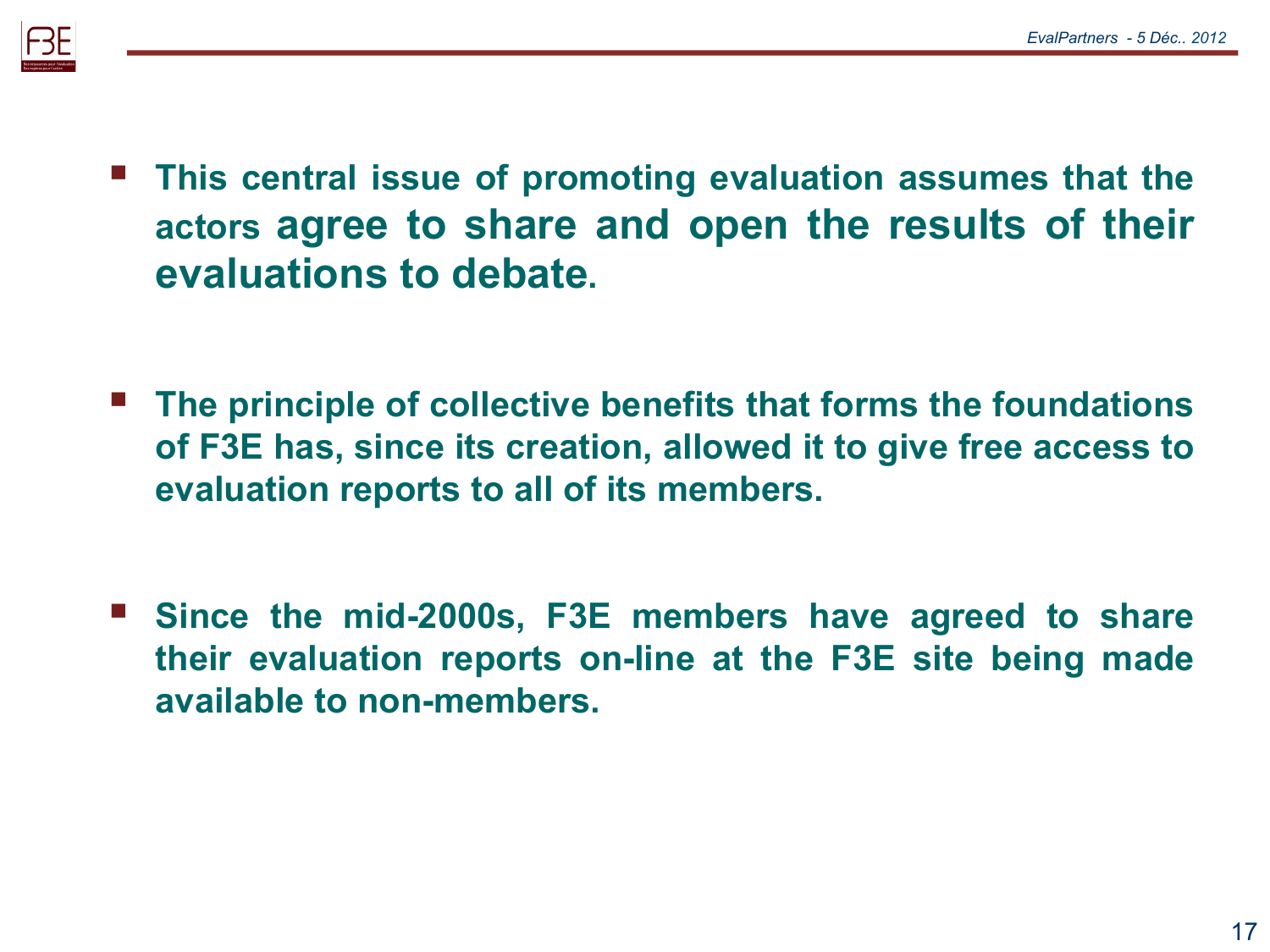

- **This central issue of promoting evaluation assumes that the actors agree to share and open the results of their evaluations to debate.**
- **The principle of collective benefits that forms the foundations of F3E has, since its creation, allowed it to give free access to evaluation reports to all of its members.**
- **Since the mid-2000s, F3E members have agreed to share their evaluation reports on-line at the F3E site being made available to non-members.**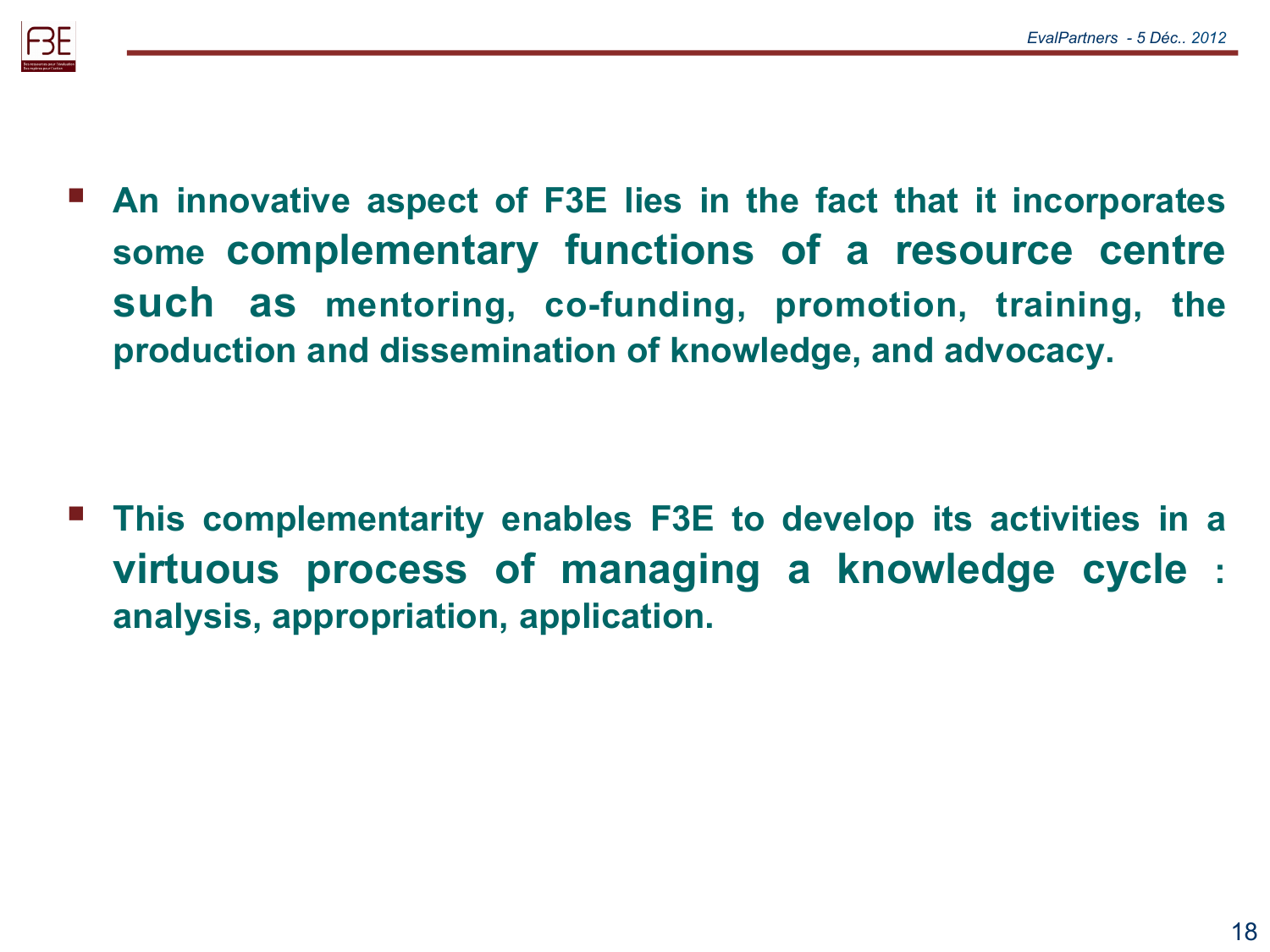

 **An innovative aspect of F3E lies in the fact that it incorporates some complementary functions of a resource centre such as mentoring, co-funding, promotion, training, the production and dissemination of knowledge, and advocacy.** 

 **This complementarity enables F3E to develop its activities in a virtuous process of managing a knowledge cycle : analysis, appropriation, application.**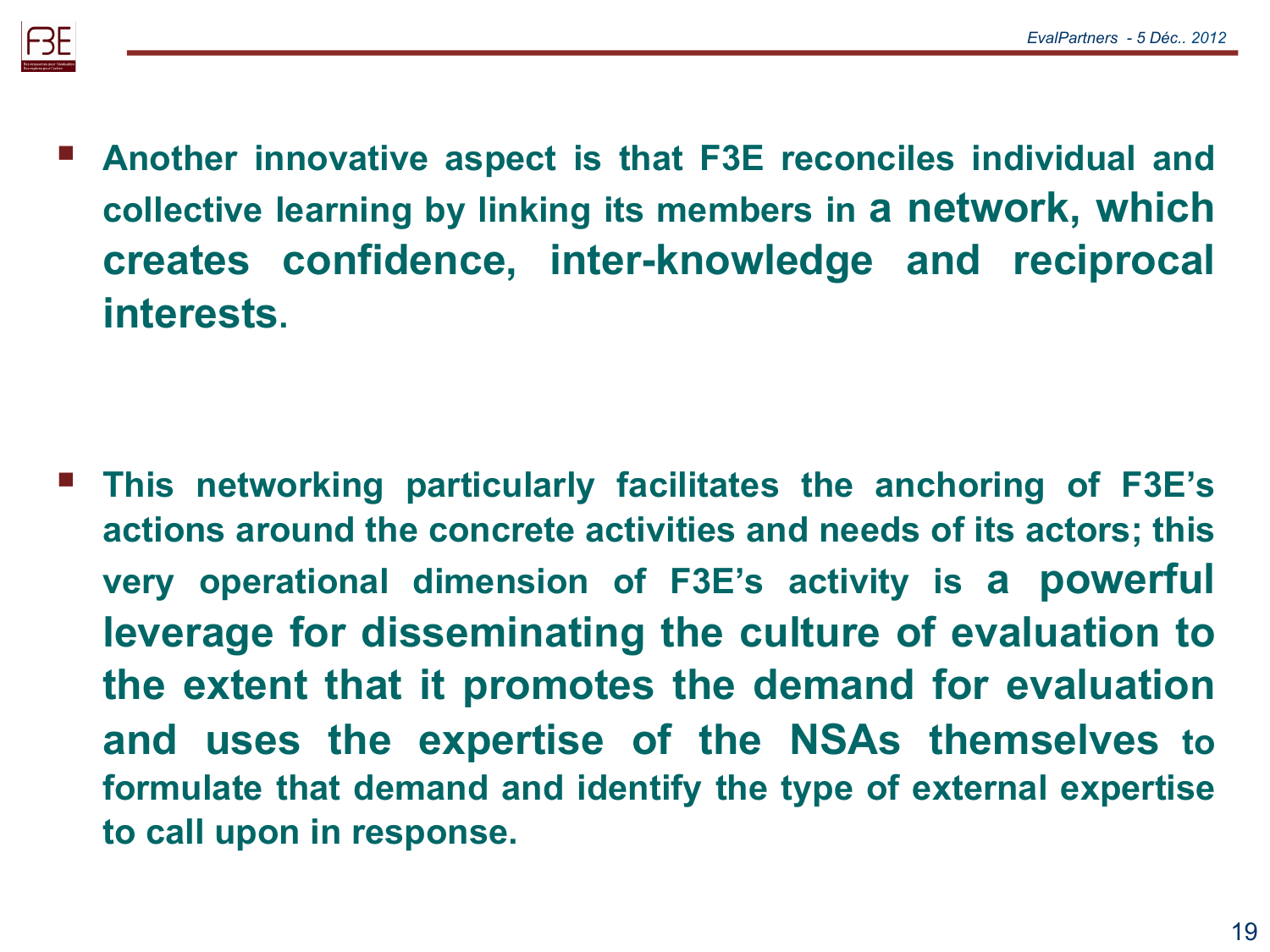

 **Another innovative aspect is that F3E reconciles individual and collective learning by linking its members in a network, which creates confidence, inter-knowledge and reciprocal interests.** 

 **This networking particularly facilitates the anchoring of F3E's actions around the concrete activities and needs of its actors; this very operational dimension of F3E's activity is a powerful leverage for disseminating the culture of evaluation to the extent that it promotes the demand for evaluation and uses the expertise of the NSAs themselves to formulate that demand and identify the type of external expertise to call upon in response.**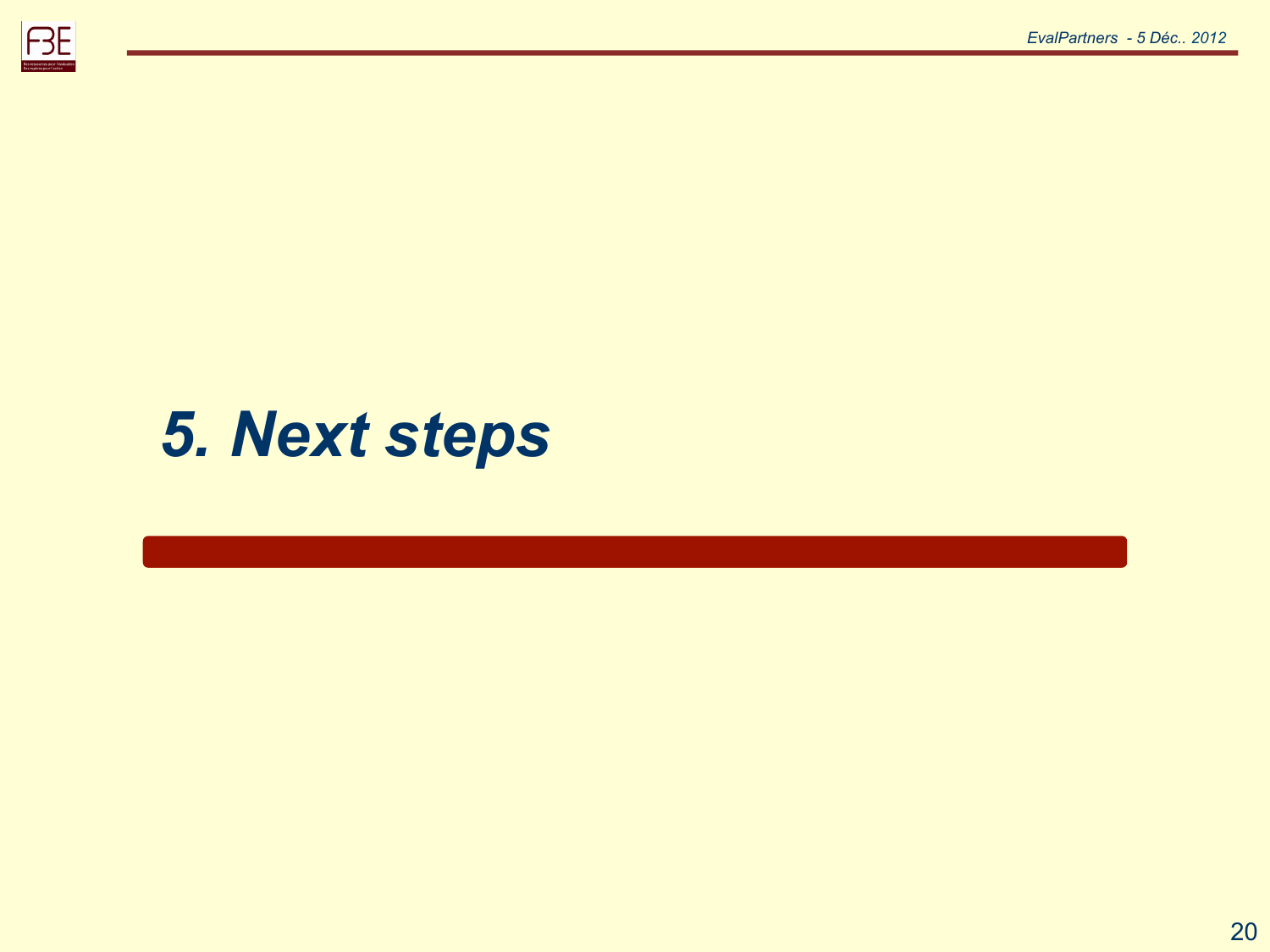



### *5. Next steps*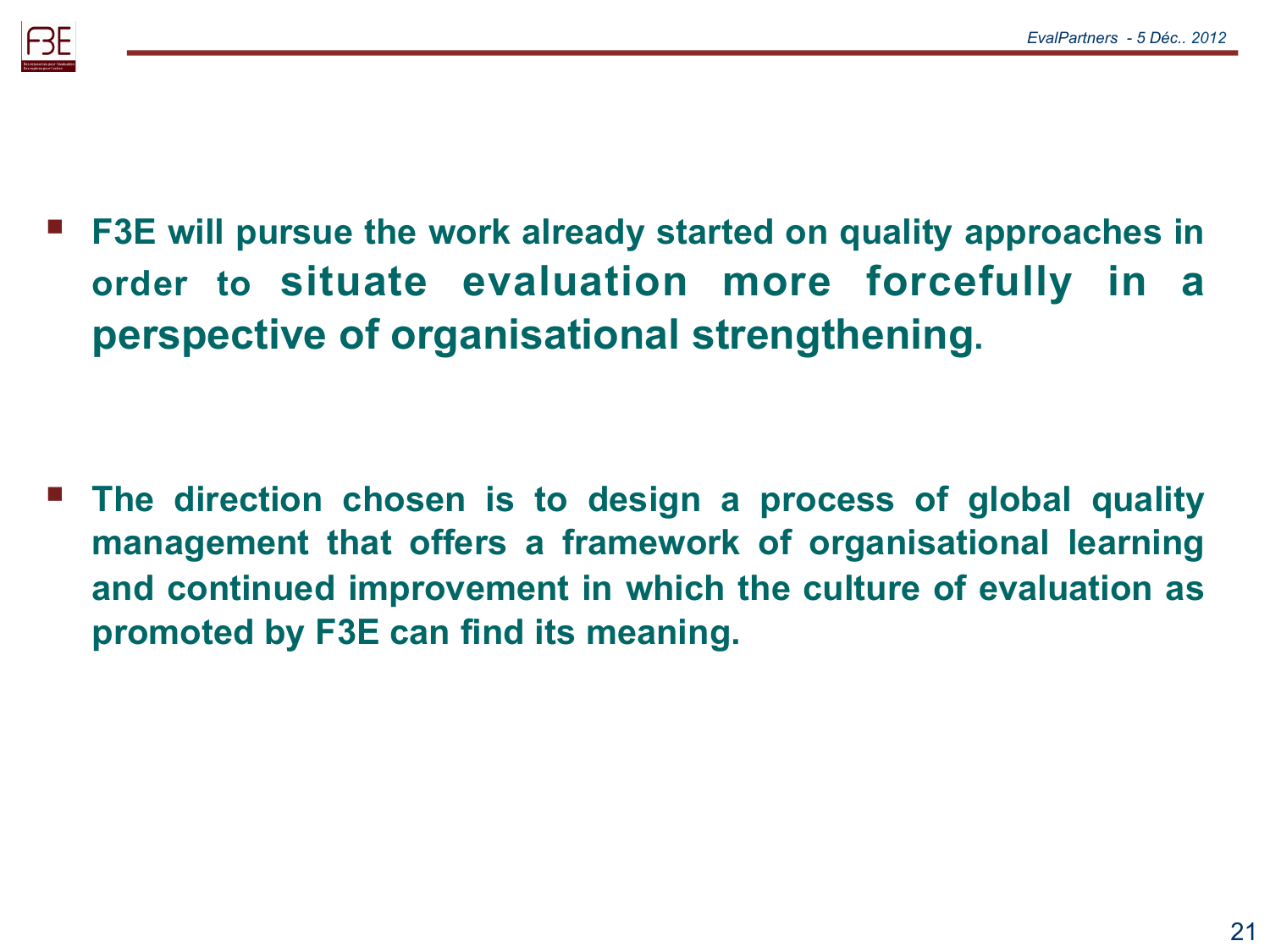

 **F3E will pursue the work already started on quality approaches in order to situate evaluation more forcefully in a perspective of organisational strengthening.** 

 **The direction chosen is to design a process of global quality management that offers a framework of organisational learning and continued improvement in which the culture of evaluation as promoted by F3E can find its meaning.**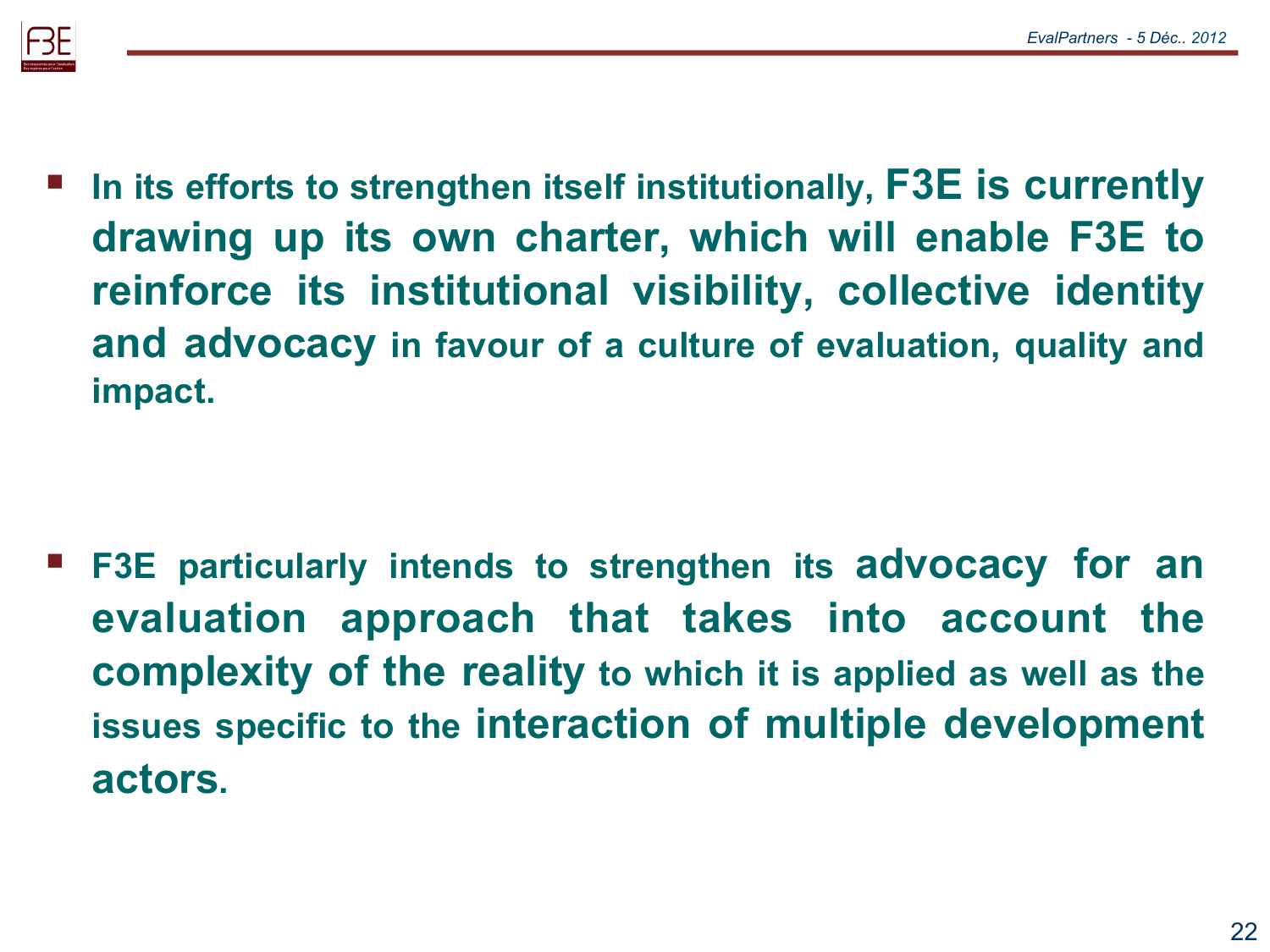

 **In its efforts to strengthen itself institutionally, F3E is currently drawing up its own charter, which will enable F3E to reinforce its institutional visibility, collective identity and advocacy in favour of a culture of evaluation, quality and impact.** 

 **F3E particularly intends to strengthen its advocacy for an evaluation approach that takes into account the complexity of the reality to which it is applied as well as the issues specific to the interaction of multiple development actors.**